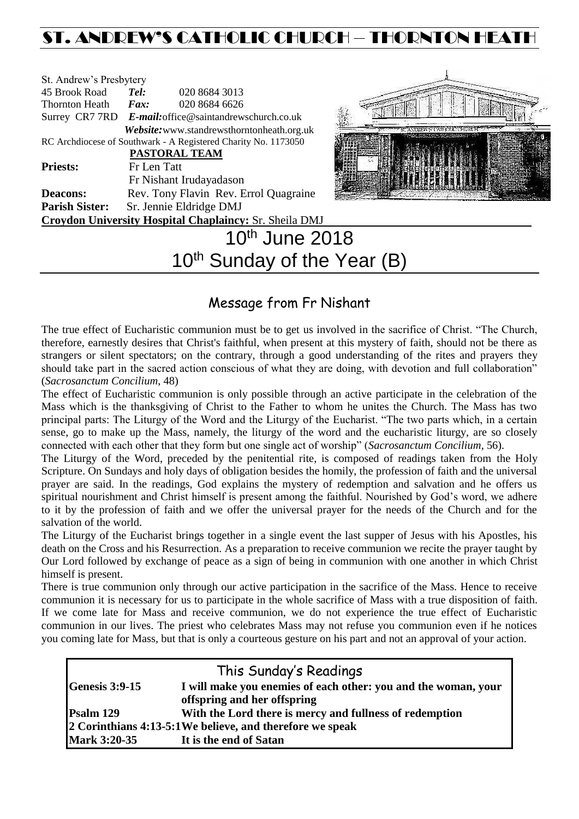# ST. ANDREW'S CATHOLIC CHURCH – THORNTON HEATH

| St. Andrew's Presbytery |                                                        |                                                                |  |
|-------------------------|--------------------------------------------------------|----------------------------------------------------------------|--|
| 45 Brook Road           | Tel:                                                   | 020 8684 3013                                                  |  |
| <b>Thornton Heath</b>   | $\boldsymbol{F}$ <i>ax</i> :                           | 020 8684 6626                                                  |  |
|                         | Surrey CR7 7RD E-mail: office@saintandrewschurch.co.uk |                                                                |  |
|                         |                                                        | Website: www.standrewsthorntonheath.org.uk                     |  |
|                         |                                                        | RC Archdiocese of Southwark - A Registered Charity No. 1173050 |  |
|                         |                                                        | <b>PASTORAL TEAM</b>                                           |  |
| <b>Priests:</b>         | Fr Len Tatt                                            |                                                                |  |
|                         |                                                        | Fr Nishant Irudayadason                                        |  |
| <b>Deacons:</b>         |                                                        | Rev. Tony Flavin Rev. Errol Quagraine                          |  |
| <b>Parish Sister:</b>   | Sr. Jennie Eldridge DMJ                                |                                                                |  |
|                         |                                                        | <b>Croydon University Hospital Chaplaincy: Sr. Sheila DMJ</b>  |  |
|                         |                                                        | $10^{th}$ June 201                                             |  |



# 10th June 2018  $10<sup>th</sup>$  Sunday of the Year (B)

# Message from Fr Nishant

The true effect of Eucharistic communion must be to get us involved in the sacrifice of Christ. "The Church, therefore, earnestly desires that Christ's faithful, when present at this mystery of faith, should not be there as strangers or silent spectators; on the contrary, through a good understanding of the rites and prayers they should take part in the sacred action conscious of what they are doing, with devotion and full collaboration" (*Sacrosanctum Concilium*, 48)

The effect of Eucharistic communion is only possible through an active participate in the celebration of the Mass which is the thanksgiving of Christ to the Father to whom he unites the Church. The Mass has two principal parts: The Liturgy of the Word and the Liturgy of the Eucharist. "The two parts which, in a certain sense, go to make up the Mass, namely, the liturgy of the word and the eucharistic liturgy, are so closely connected with each other that they form but one single act of worship" (*Sacrosanctum Concilium*, 56).

The Liturgy of the Word, preceded by the penitential rite, is composed of readings taken from the Holy Scripture. On Sundays and holy days of obligation besides the homily, the profession of faith and the universal prayer are said. In the readings, God explains the mystery of redemption and salvation and he offers us spiritual nourishment and Christ himself is present among the faithful. Nourished by God's word, we adhere to it by the profession of faith and we offer the universal prayer for the needs of the Church and for the salvation of the world.

The Liturgy of the Eucharist brings together in a single event the last supper of Jesus with his Apostles, his death on the Cross and his Resurrection. As a preparation to receive communion we recite the prayer taught by Our Lord followed by exchange of peace as a sign of being in communion with one another in which Christ himself is present.

There is true communion only through our active participation in the sacrifice of the Mass. Hence to receive communion it is necessary for us to participate in the whole sacrifice of Mass with a true disposition of faith. If we come late for Mass and receive communion, we do not experience the true effect of Eucharistic communion in our lives. The priest who celebrates Mass may not refuse you communion even if he notices you coming late for Mass, but that is only a courteous gesture on his part and not an approval of your action.

| This Sunday's Readings                                    |                                                                |  |  |  |
|-----------------------------------------------------------|----------------------------------------------------------------|--|--|--|
| <b>Genesis 3:9-15</b>                                     | I will make you enemies of each other: you and the woman, your |  |  |  |
|                                                           | offspring and her offspring                                    |  |  |  |
| Psalm 129                                                 | With the Lord there is mercy and fullness of redemption        |  |  |  |
| 2 Corinthians 4:13-5:1 We believe, and therefore we speak |                                                                |  |  |  |
| <b>Mark 3:20-35</b>                                       | It is the end of Satan                                         |  |  |  |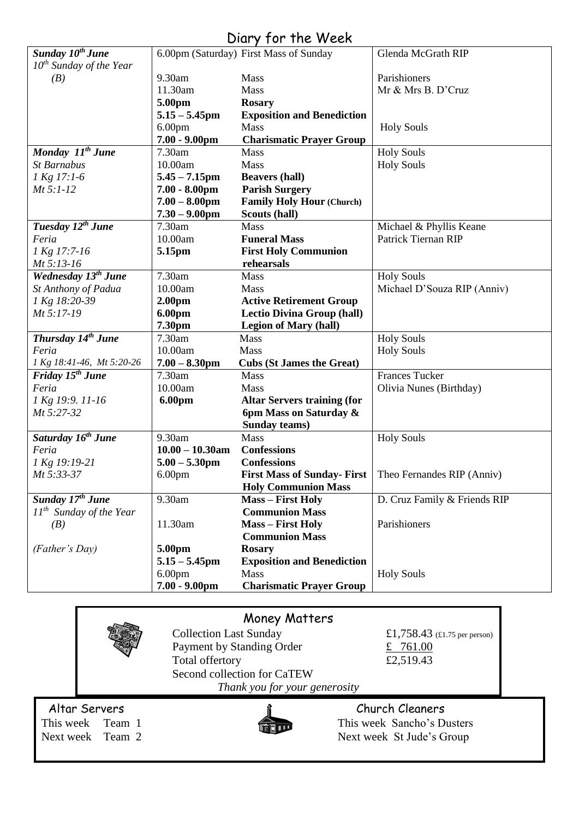# Diary for the Week

| Sunday 10 <sup>th</sup> June    |                    | 6.00pm (Saturday) First Mass of Sunday                   | Glenda McGrath RIP           |
|---------------------------------|--------------------|----------------------------------------------------------|------------------------------|
| $10^{th}$ Sunday of the Year    |                    |                                                          |                              |
| (B)                             | 9.30am             | Mass                                                     | Parishioners                 |
|                                 | 11.30am            | Mass                                                     | Mr & Mrs B. D'Cruz           |
|                                 | 5.00pm             | <b>Rosary</b>                                            |                              |
|                                 | $5.15 - 5.45$ pm   | <b>Exposition and Benediction</b>                        |                              |
|                                 | 6.00 <sub>pm</sub> | Mass                                                     | <b>Holy Souls</b>            |
|                                 | 7.00 - 9.00pm      | <b>Charismatic Prayer Group</b>                          |                              |
| Monday 11 <sup>th</sup> June    | 7.30am             | Mass                                                     | <b>Holy Souls</b>            |
| <b>St Barnabus</b>              | 10.00am            | Mass                                                     | <b>Holy Souls</b>            |
| 1 Kg 17:1-6                     | $5.45 - 7.15$ pm   | <b>Beavers (hall)</b>                                    |                              |
| $Mt 5:1-12$                     | $7.00 - 8.00$ pm   | <b>Parish Surgery</b>                                    |                              |
|                                 | $7.00 - 8.00$ pm   | <b>Family Holy Hour (Church)</b>                         |                              |
|                                 | $7.30 - 9.00$ pm   | Scouts (hall)                                            |                              |
| Tuesday 12 <sup>th</sup> June   | 7.30am             | Mass                                                     | Michael & Phyllis Keane      |
| Feria                           | 10.00am            | <b>Funeral Mass</b>                                      | <b>Patrick Tiernan RIP</b>   |
| 1 Kg 17:7-16                    | 5.15pm             | <b>First Holy Communion</b>                              |                              |
| Mt 5:13-16                      |                    | rehearsals                                               |                              |
| Wednesday 13 <sup>th</sup> June | 7.30am             | Mass                                                     | <b>Holy Souls</b>            |
| St Anthony of Padua             | 10.00am            | Mass                                                     | Michael D'Souza RIP (Anniv)  |
| 1 Kg 18:20-39                   | 2.00 <sub>pm</sub> | <b>Active Retirement Group</b>                           |                              |
| Mt 5:17-19                      | 6.00pm             | <b>Lectio Divina Group (hall)</b>                        |                              |
|                                 | 7.30pm             | <b>Legion of Mary (hall)</b>                             |                              |
| Thursday 14 <sup>th</sup> June  | 7.30am             | Mass                                                     | <b>Holy Souls</b>            |
| Feria                           | 10.00am            | Mass                                                     | <b>Holy Souls</b>            |
| 1 Kg 18:41-46, Mt 5:20-26       | $7.00 - 8.30$ pm   | <b>Cubs (St James the Great)</b>                         |                              |
| Friday 15 <sup>th</sup> June    | 7.30am             | Mass                                                     | <b>Frances Tucker</b>        |
| Feria                           | 10.00am            | Mass                                                     | Olivia Nunes (Birthday)      |
| 1 Kg 19:9. 11-16                | 6.00pm             | <b>Altar Servers training (for</b>                       |                              |
| Mt 5:27-32                      |                    | 6pm Mass on Saturday &                                   |                              |
|                                 |                    | Sunday teams)                                            |                              |
| Saturday 16 <sup>th</sup> June  | 9.30am             | Mass                                                     | <b>Holy Souls</b>            |
| Feria                           | $10.00 - 10.30$ am | <b>Confessions</b>                                       |                              |
| 1 Kg 19:19-21                   | $5.00 - 5.30$ pm   | <b>Confessions</b>                                       |                              |
| Mt 5:33-37                      | 6.00 <sub>pm</sub> | First Mass of Sunday- First   Theo Fernandes RIP (Anniv) |                              |
|                                 |                    | <b>Holy Communion Mass</b>                               |                              |
| Sunday 17 <sup>th</sup> June    | 9.30am             | <b>Mass - First Holy</b>                                 | D. Cruz Family & Friends RIP |
| $11^{th}$ Sunday of the Year    |                    | <b>Communion Mass</b>                                    |                              |
| (B)                             | 11.30am            | <b>Mass - First Holy</b>                                 | Parishioners                 |
|                                 |                    | <b>Communion Mass</b>                                    |                              |
| (Father's Day)                  | 5.00pm             | <b>Rosary</b>                                            |                              |
|                                 | $5.15 - 5.45$ pm   | <b>Exposition and Benediction</b>                        |                              |
|                                 | 6.00 <sub>pm</sub> | Mass                                                     | <b>Holy Souls</b>            |
|                                 | $7.00 - 9.00$ pm   | <b>Charismatic Prayer Group</b>                          |                              |

| Money Matters                 |                  |                               |                              |  |  |
|-------------------------------|------------------|-------------------------------|------------------------------|--|--|
|                               |                  | <b>Collection Last Sunday</b> | £1,758.43 (£1.75 per person) |  |  |
|                               |                  | Payment by Standing Order     | £ $761.00$                   |  |  |
|                               |                  | Total offertory               | £2,519.43                    |  |  |
|                               |                  | Second collection for CaTEW   |                              |  |  |
| Thank you for your generosity |                  |                               |                              |  |  |
| Altar Servers                 |                  |                               | Church Cleaners              |  |  |
|                               | This week Team 1 |                               | This week Sancho's Dusters   |  |  |
|                               | Next week Team 2 |                               | Next week St Jude's Group    |  |  |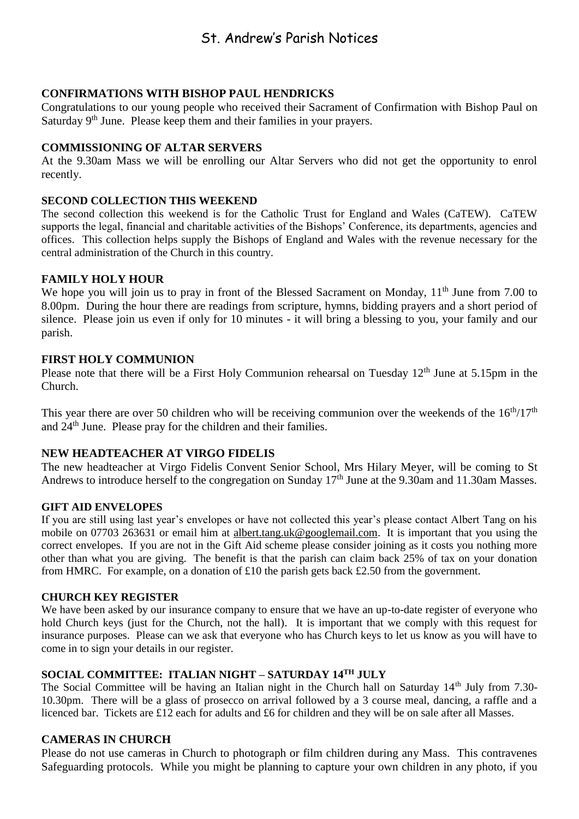# St. Andrew's Parish Notices

# **CONFIRMATIONS WITH BISHOP PAUL HENDRICKS**

Congratulations to our young people who received their Sacrament of Confirmation with Bishop Paul on Saturday 9<sup>th</sup> June. Please keep them and their families in your prayers.

# **COMMISSIONING OF ALTAR SERVERS**

At the 9.30am Mass we will be enrolling our Altar Servers who did not get the opportunity to enrol recently.

#### **SECOND COLLECTION THIS WEEKEND**

The second collection this weekend is for the Catholic Trust for England and Wales (CaTEW). CaTEW supports the legal, financial and charitable activities of the Bishops' Conference, its departments, agencies and offices. This collection helps supply the Bishops of England and Wales with the revenue necessary for the central administration of the Church in this country.

# **FAMILY HOLY HOUR**

We hope you will join us to pray in front of the Blessed Sacrament on Monday, 11<sup>th</sup> June from 7.00 to 8.00pm. During the hour there are readings from scripture, hymns, bidding prayers and a short period of silence. Please join us even if only for 10 minutes - it will bring a blessing to you, your family and our parish.

# **FIRST HOLY COMMUNION**

Please note that there will be a First Holy Communion rehearsal on Tuesday  $12<sup>th</sup>$  June at 5.15pm in the Church.

This year there are over 50 children who will be receiving communion over the weekends of the  $16<sup>th</sup>/17<sup>th</sup>$ and 24th June. Please pray for the children and their families.

# **NEW HEADTEACHER AT VIRGO FIDELIS**

The new headteacher at Virgo Fidelis Convent Senior School, Mrs Hilary Meyer, will be coming to St Andrews to introduce herself to the congregation on Sunday 17<sup>th</sup> June at the 9.30am and 11.30am Masses.

#### **GIFT AID ENVELOPES**

If you are still using last year's envelopes or have not collected this year's please contact Albert Tang on his mobile on 07703 263631 or email him at [albert.tang.uk@googlemail.com.](mailto:albert.tang.uk@googlemail.com) It is important that you using the correct envelopes. If you are not in the Gift Aid scheme please consider joining as it costs you nothing more other than what you are giving. The benefit is that the parish can claim back 25% of tax on your donation from HMRC. For example, on a donation of £10 the parish gets back £2.50 from the government.

#### **CHURCH KEY REGISTER**

We have been asked by our insurance company to ensure that we have an up-to-date register of everyone who hold Church keys (just for the Church, not the hall). It is important that we comply with this request for insurance purposes. Please can we ask that everyone who has Church keys to let us know as you will have to come in to sign your details in our register.

# **SOCIAL COMMITTEE: ITALIAN NIGHT – SATURDAY 14TH JULY**

The Social Committee will be having an Italian night in the Church hall on Saturday  $14<sup>th</sup>$  July from 7.30-10.30pm. There will be a glass of prosecco on arrival followed by a 3 course meal, dancing, a raffle and a licenced bar. Tickets are £12 each for adults and £6 for children and they will be on sale after all Masses.

#### **CAMERAS IN CHURCH**

Please do not use cameras in Church to photograph or film children during any Mass. This contravenes Safeguarding protocols. While you might be planning to capture your own children in any photo, if you